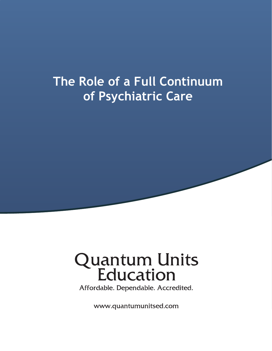# **7he Role of a Full Continuum of Psychiatric Care**

# **Quantum Units<br>Education**

Affordable. Dependable. Accredited.

www.quantumunitsed.com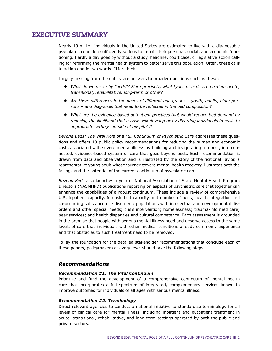# EXECUTIVE SUMMARY

Nearly 10 million individuals in the United States are estimated to live with a diagnosable psychiatric condition sufficiently serious to impair their personal, social, and economic functioning. Hardly a day goes by without a study, headline, court case, or legislative action calling for reforming the mental health system to better serve this population. Often, these calls to action end in two words: "More beds."

Largely missing from the outcry are answers to broader questions such as these:

- ◆ *What do we mean by "beds"? More precisely, what types of beds are needed: acute, transitional, rehabilitative, long-term or other?*
- ◆ *Are there differences in the needs of different age groups youth, adults, older per*sons - and diagnoses that need to be reflected in the bed composition?
- ◆ *What are the evidence-based outpatient practices that would reduce bed demand by reducing the likelihood that a crisis will develop or by diverting individuals in crisis to appropriate settings outside of hospitals?*

*Beyond Beds: The Vital Role of a Full Continuum of Psychiatric Care* addresses these questions and offers 10 public policy recommendations for reducing the human and economic costs associated with severe mental illness by building and invigorating a robust, interconnected, evidence-based system of care that goes beyond beds. Each recommendation is drawn from data and observation and is illustrated by the story of the ficitional Taylor, a representative young adult whose journey toward mental health recovery illustrates both the failings and the potential of the current continuum of psychiatric care.

*Beyond Beds* also launches a year of National Association of State Mental Health Program Directors (NASMHPD) publications reporting on aspects of psychiatric care that together can enhance the capabilities of a robust continuum. These include a review of comprehensive U.S. inpatient capacity, forensic bed capacity and number of beds; health integration and co-occurring substance use disorders; populations with intellectual and developmental disorders and other special needs; crisis intervention; homelessness; trauma-informed care; peer services; and health disparities and cultural competence. Each assessment is grounded in the premise that people with serious mental illness need and deserve access to the same levels of care that individuals with other medical conditions already commonly experience and that obstacles to such treatment need to be removed.

To lay the foundation for the detailed stakeholder recommendations that conclude each of these papers, policymakers at every level should take the following steps:

#### *Recommendations*

#### *Recommendation #1: The Vital Continuum*

Prioritize and fund the development of a comprehensive continuum of mental health care that incorporates a full spectrum of integrated, complementary services known to improve outcomes for individuals of all ages with serious mental illness.

#### *Recommendation #2: Terminology*

Direct relevant agencies to conduct a national initiative to standardize terminology for all levels of clinical care for mental illness, including inpatient and outpatient treatment in acute, transitional, rehabilitative, and long-term settings operated by both the public and private sectors.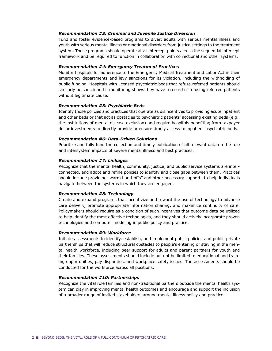#### *Recommendation #3: Criminal and Juvenile Justice Diversion*

Fund and foster evidence-based programs to divert adults with serious mental illness and youth with serious mental illness or emotional disorders from justice settings to the treatment system. These programs should operate at all intercept points across the sequential intercept framework and be required to function in collaboration with correctional and other systems.

#### *Recommendation #4: Emergency Treatment Practices*

Monitor hospitals for adherence to the Emergency Medical Treatment and Labor Act in their emergency departments and levy sanctions for its violation, including the withholding of public funding. Hospitals with licensed psychiatric beds that refuse referred patients should similarly be sanctioned if monitoring shows they have a record of refusing referred patients without legitimate cause.

#### *Recommendation #5: Psychiatric Beds*

Identify those policies and practices that operate as disincentives to providing acute inpatient and other beds or that act as obstacles to psychiatric patients' accessing existing beds (e.g., the institutions of mental disease exclusion) and require hospitals benefiting from taxpayer dollar investments to directly provide or ensure timely access to inpatient psychiatric beds.

#### *Recommendation #6: Data-Driven Solutions*

Prioritize and fully fund the collection and timely publication of all relevant data on the role and intersystem impacts of severe mental illness and best practices.

#### *Recommendation #7: Linkages*

Recognize that the mental health, community, justice, and public service systems are interconnected, and adopt and refine policies to identify and close gaps between them. Practices should include providing "warm hand-offs" and other necessary supports to help individuals navigate between the systems in which they are engaged.

#### *Recommendation #8: Technology*

Create and expand programs that incentivize and reward the use of technology to advance care delivery, promote appropriate information sharing, and maximize continuity of care. Policymakers should require as a condition of such incentives that outcome data be utilized to help identify the most effective technologies, and they should actively incorporate proven technologies and computer modeling in public policy and practice.

#### *Recommendation #9: Workforce*

Initiate assessments to identify, establish, and implement public policies and public-private partnerships that will reduce structural obstacles to people's entering or staying in the mental health workforce, including peer support for adults and parent partners for youth and their families. These assessments should include but not be limited to educational and training opportunities, pay disparities, and workplace safety issues. The assessments should be conducted for the workforce across all positions.

#### *Recommendation #10: Partnerships*

Recognize the vital role families and non-traditional partners outside the mental health system can play in improving mental health outcomes and encourage and support the inclusion of a broader range of invited stakeholders around mental illness policy and practice.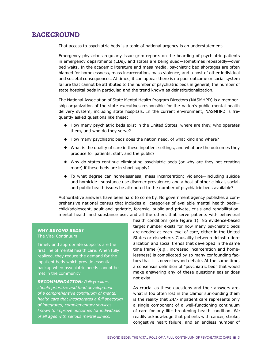# BACKGROUND

That access to psychiatric beds is a topic of national urgency is an understatement.

Emergency physicians regularly issue grim reports on the boarding of psychiatric patients in emergency departments (EDs), and states are being sued—sometimes repeatedly—over bed waits. In the academic literature and mass media, psychiatric bed shortages are often blamed for homelessness, mass incarceration, mass violence, and a host of other individual and societal consequences. At times, it can appear there is no poor outcome or social system failure that cannot be attributed to the number of psychiatric beds in general, the number of state hospital beds in particular, and the trend known as deinstitutionalization.

The National Association of State Mental Health Program Directors (NASMHPD) is a membership organization of the state executives responsible for the nation's public mental health delivery system, including state hospitals. In the current environment, NASMHPD is frequently asked questions like these:

- ◆ How many psychiatric beds exist in the United States, where are they, who operates them, and who do they serve?
- ◆ How many psychiatric beds does the nation need, of what kind and where?
- ◆ What is the quality of care in these inpatient settings, and what are the outcomes they produce for patients, staff, and the public?
- ◆ Why do states continue eliminating psychiatric beds (or why are they not creating more) if these beds are in short supply?
- ◆ To what degree can homelessness; mass incarceration; violence—including suicide and homicide—substance use disorder prevalence; and a host of other clinical, social, and public health issues be attributed to the number of psychiatric beds available?

Authoritative answers have been hard to come by. No government agency publishes a comprehensive national census that includes all categories of available mental health beds child/adolescent, adult and geriatric, forensic, public and private, crisis and rehabilitation, mental health and substance use, and all the others that serve patients with behavioral

#### **WHY** *BEYOND BEDS***?** The Vital Continuum

Timely and appropriate supports are the first line of mental health care. When fully realized, they reduce the demand for the inpatient beds which provide essential backup when psychiatric needs cannot be met in the community.

*RECOMMENDATION: Policymakers should prioritize and fund development of a comprehensive continuum of mental health care that incorporates a full spectrum of integrated, complementary services known to improve outcomes for individuals of all ages with serious mental illness.*

health conditions (see Figure 1). No evidence-based target number exists for how many psychiatric beds are needed at each level of care, either in the United States or elsewhere. Causality between deinstitutionalization and social trends that developed in the same time frame (e.g., increased incarceration and homelessness) is complicated by so many confounding factors that it is never beyond debate. At the same time, a consensus definition of "psychiatric bed" that would make answering any of these questions easier does not exist.

As crucial as these questions and their answers are, what is too often lost in the clamor surrounding them is the reality that 24/7 inpatient care represents only a single component of a well-functioning continuum of care for any life-threatening health condition. We readily acknowledge that patients with cancer, stroke, congestive heart failure, and an endless number of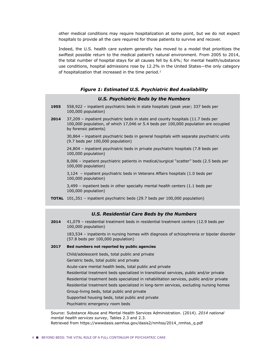other medical conditions may require hospitalization at some point, but we do not expect hospitals to provide all the care required for those patients to survive and recover.

Indeed, the U.S. health care system generally has moved to a model that prioritizes the swiftest possible return to the medical patient's natural environment. From 2005 to 2014, the total number of hospital stays for all causes fell by 6.6%; for mental health/substance use conditions, hospital admissions rose by 12.2% in the United States—the only category of hospitalization that increased in the time period.<sup>1</sup>

#### *Figure 1: Estimated U.S. Psychiatric Bed Availability*

#### *U.S. Psychiatric Beds by the Numbers*

- **1955** 558,922 inpatient psychiatric beds in state hospitals (peak year; 337 beds per 100,000 population)
- **2014** 37,209 inpatient psychiatric beds in state and county hospitals (11.7 beds per 100,000 population, of which 17,046 or 5.4 beds per 100,000 population are occupied by forensic patients)

30,864 – inpatient psychiatric beds in general hospitals with separate psychiatric units (9.7 beds per 100,000 population)

24,804 – inpatient psychiatric beds in private psychiatric hospitals (7.8 beds per 100,000 population)

8,006 – inpatient psychiatric patients in medical/surgical "scatter" beds (2.5 beds per 100,000 population)

3,124 – inpatient psychiatric beds in Veterans Affairs hospitals (1.0 beds per 100,000 population)

3,499 – inpatient beds in other specialty mental health centers (1.1 beds per 100,000 population)

**TOTAL** 101,351 – inpatient psychiatric beds (29.7 beds per 100,000 population)

#### *U.S. Residential Care Beds by the Numbers*

**2014** 41,079 – residential treatment beds in residential treatment centers (12.9 beds per 100,000 population)

183,534 – inpatients in nursing homes with diagnosis of schizophrenia or bipolar disorder (57.8 beds per 100,000 population)

#### **2017 Bed numbers not reported by public agencies**

Child/adolescent beds, total public and private

Geriatric beds, total public and private

Acute-care mental health beds, total public and private

Residential treatment beds specialized in transitional services, public and/or private Residential treatment beds specialized in rehabilitation services, public and/or private Residential treatment beds specialized in long-term services, excluding nursing homes

Group-living beds, total public and private

Supported housing beds, total public and private

Psychiatric emergency room beds

Source: Substance Abuse and Mental Health Services Administration. (2014). *2014 national mental health services survey*, Tables 2.3 and 2.3. Retrieved from https://wwwdasis.samhsa.gov/dasis2/nmhss/2014\_nmhss\_q.pdf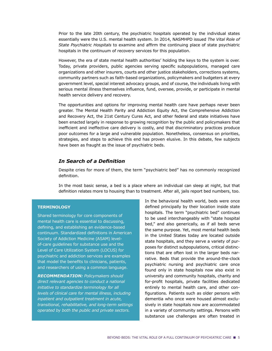Prior to the late 20th century, the psychiatric hospitals operated by the individual states essentially were the U.S. mental health system. In 2014, NASMHPD issued *The Vital Role of State Psychiatric Hospitals* to examine and affirm the continuing place of state psychiatric hospitals in the continuum of recovery services for this population.

However, the era of state mental health authorities' holding the keys to the system is over. Today, private providers, public agencies serving specific subpopulations, managed care organizations and other insurers, courts and other justice stakeholders, corrections systems, community partners such as faith-based organizations, policymakers and budgeters at every government level, special interest advocacy groups, and of course, the individuals living with serious mental illness themselves influence, fund, oversee, provide, or participate in mental health service delivery and recovery.

The opportunities and options for improving mental health care have perhaps never been greater. The Mental Health Parity and Addiction Equity Act, the Comprehensive Addiction and Recovery Act, the 21st Century Cures Act, and other federal and state initiatives have been enacted largely in response to growing recognition by the public and policymakers that inefficient and ineffective care delivery is costly, and that discriminatory practices produce poor outcomes for a large and vulnerable population. Nonetheless, consensus on priorities, strategies, and steps to achieve this end has proven elusive. In this debate, few subjects have been as fraught as the issue of psychiatric beds.

#### **In Search of a Definition**

Despite cries for more of them, the term "psychiatric bed" has no commonly recognized definition.

In the most basic sense, a bed is a place where an individual can sleep at night, but that definition relates more to housing than to treatment. After all, jails report bed numbers, too.

#### **TERMINOLOGY**

Shared terminology for core components of mental health care is essential to discussing, defining, and establishing an evidence-based continuum. Standardized definitions in American Society of Addiction Medicine (ASAM) levelof-care guidelines for substance use and the Level of Care Utilization System (LOCUS) for psychiatric and addiction services are examples that model the benefits to clinicians, patients, and researchers of using a common language.

*RECOMMENDATION: Policymakers should direct relevant agencies to conduct a national initiative to standardize terminology for all levels of clinical care for mental illness, including inpatient and outpatient treatment in acute, transitional, rehabilitative, and long-term settings operated by both the public and private sectors.*

In the behavioral health world, beds were once defined principally by their location inside state hospitals. The term "psychiatric bed" continues to be used interchangeably with "state hospital bed," and also generically, as if all beds serve the same purpose. Yet, most mental health beds in the United States today are located outside state hospitals, and they serve a variety of purposes for distinct subpopulations, critical distinctions that are often lost in the larger beds narrative. Beds that provide the around-the-clock psychiatric nursing and psychiatric care once found only in state hospitals now also exist in university and community hospitals, charity and for-profit hospitals, private facilities dedicated entirely to mental health care, and other con figurations. Patients such as older persons with dementia who once were housed almost exclusively in state hospitals now are accommodated in a variety of community settings. Persons with substance use challenges are often treated in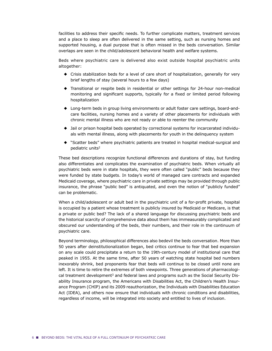facilities to address their specific needs. To further complicate matters, treatment services and a place to sleep are often delivered in the same setting, such as nursing homes and supported housing, a dual purpose that is often missed in the beds conversation. Similar overlaps are seen in the child/adolescent behavioral health and welfare systems.

Beds where psychiatric care is delivered also exist outside hospital psychiatric units altogether:

- ◆ Crisis stabilization beds for a level of care short of hospitalization, generally for very brief lengths of stay (several hours to a few days)
- ◆ Transitional or respite beds in residential or other settings for 24-hour non-medical monitoring and significant supports, typically for a fixed or limited period following hospitalization
- ◆ Long-term beds in group living environments or adult foster care settings, board-andcare facilities, nursing homes and a variety of other placements for individuals with chronic mental illness who are not ready or able to reenter the community
- ◆ Jail or prison hospital beds operated by correctional systems for incarcerated individuals with mental illness, along with placements for youth in the delinquency system
- ◆ "Scatter beds" where psychiatric patients are treated in hospital medical-surgical and pediatric units2

These bed descriptions recognize functional differences and durations of stay, but funding also differentiates and complicates the examination of psychiatric beds. When virtually all psychiatric beds were in state hospitals, they were often called "public" beds because they were funded by state budgets. In today's world of managed care contracts and expanded Medicaid coverage, where psychiatric care in private settings may be provided through public insurance, the phrase "public bed" is antiquated, and even the notion of "publicly funded" can be problematic.

When a child/adolescent or adult bed in the psychiatric unit of a for-profit private, hospital is occupied by a patient whose treatment is publicly insured by Medicaid or Medicare, is that a private or public bed? The lack of a shared language for discussing psychiatric beds and the historical scarcity of comprehensive data about them has immeasurably complicated and obscured our understanding of the beds, their numbers, and their role in the continuum of psychiatric care.

Beyond terminology, philosophical differences also bedevil the beds conversation. More than 50 years after deinstitutionalization began, bed critics continue to fear that bed expansion on any scale could precipitate a return to the 19th-century model of institutional care that peaked in 1955. At the same time, after 50 years of watching state hospital bed numbers inexorably shrink, bed proponents fear that beds will continue to be closed until none are left. It is time to retire the extremes of both viewpoints. Three generations of pharmacological treatment development<sup>3</sup> and federal laws and programs such as the Social Security Disability Insurance program, the Americans with Disabilities Act, the Children's Health Insurance Program (CHIP) and its 2009 reauthorization, the Individuals with Disabilities Education Act (IDEA), and others now ensure that individuals with chronic conditions and disabilities, regardless of income, will be integrated into society and entitled to lives of inclusion.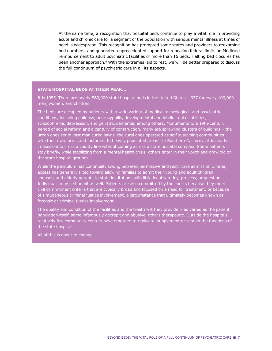At the same time, a recognition that hospital beds continue to play a vital role in providing acute and chronic care for a segment of the population with serious mental illness at times of need is widespread. This recognition has prompted some states and providers to reexamine bed numbers, and generated unprecedented support for repealing federal limits on Medicaid reimbursement to adult psychiatric facilities of more than 16 beds. Halting bed closures has been another approach.<sup>4</sup> With the extremes laid to rest, we will be better prepared to discuss the full continuum of psychiatric care in all its aspects.

#### **STATE HOSPITAL BEDS AT THEIR PEAK…**

It is 1955. There are nearly 560,000 state hospital beds in the United States – 337 for every 100,000 men, women, and children.

The beds are occupied by patients with a wide variety of medical, neurological, and psychiatric conditions, including epilepsy, neurosyphilis, developmental and intellectual disabilities, schizophrenia, depression, and geriatric dementia, among others. Monuments to a 19th-century period of social reform and a century of construction, many are sprawling clusters of buildings – the urban ones set in vast manicured lawns, the rural ones operated as self-sustaining communities with their own farms and factories. In heavily populated areas like Southern California, it is nearly impossible to cross a county line without coming across a state hospital complex. Some patients stay briefly, while stabilizing from a mental health crisis; others enter in their youth and grow old on the state hospital grounds.

While the pendulum has continually swung between permissive and restrictive admission criteria, access has generally tilted toward allowing families to admit their young and adult children, spouses, and elderly parents to state institutions with little legal scrutiny, process, or question. Individuals may self-admit as well. Patients are also committed by the courts because they meet civil commitment criteria that are typically broad and focused on a need for treatment, or because of simultaneous criminal justice involvement, a circumstance that ultimately becomes known as forensic or criminal justice involvement.

The quality and condition of the facilities and the treatment they provide is as varied as the patient population itself, some infamously decrepit and abusive, others therapeutic. Outside the hospitals, relatively few community centers have emerged to replicate, supplement or sustain the functions of the state hospitals.

All of this is about to change.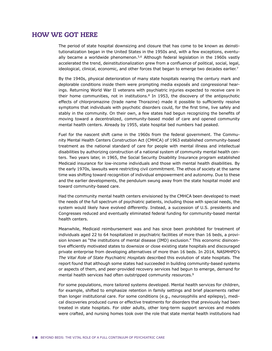# HOW WE GOT HERE

The period of state hospital downsizing and closure that has come to be known as deinstitutionalization began in the United States in the 1950s and, with a few exceptions, eventually became a worldwide phenomenon. $5,6$  Although federal legislation in the 1960s vastly accelerated the trend, deinstitutionalization grew from a confluence of political, social, legal, ideological, clinical, economic, and other forces that began to emerge two decades earlier.<sup>7</sup>

By the 1940s, physical deterioration of many state hospitals nearing the century mark and deplorable conditions inside them were prompting media exposés and congressional hearings. Returning World War II veterans with psychiatric injuries expected to receive care in their home communities, not in institutions.<sup>8</sup> In 1953, the discovery of the antipsychotic effects of chlorpromazine (trade name Thorazine) made it possible to sufficiently resolve symptoms that individuals with psychotic disorders could, for the first time, live safely and stably in the community. On their own, a few states had begun recognizing the benefits of moving toward a decentralized, community-based model of care and opened community mental health centers. Already by 1955, state hospital bed numbers had peaked.

Fuel for the nascent shift came in the 1960s from the federal government. The Community Mental Health Centers Construction Act (CMHCA) of 1963 established community-based treatment as the national standard of care for people with mental illness and intellectual disabilities by authorizing construction of a national system of community mental health centers. Two years later, in 1965, the Social Security Disability Insurance program established Medicaid insurance for low-income individuals and those with mental health disabilities. By the early 1970s, lawsuits were restricting civil commitment. The ethos of society at the same time was shifting toward recognition of individual empowerment and autonomy. Due to these and the earlier developments, the pendulum swung away from the state hospital model and toward community-based care.

Had the community mental health centers envisioned by the CMHCA been developed to meet the needs of the full spectrum of psychiatric patients, including those with special needs, the system would likely have evolved differently. Instead, a succession of U.S. presidents and Congresses reduced and eventually eliminated federal funding for community-based mental health centers.

Meanwhile, Medicaid reimbursement was and has since been prohibited for treatment of individuals aged 22 to 64 hospitalized in psychiatric facilities of more than 16 beds, a provision known as "the institutions of mental disease (IMD) exclusion." This economic disincentive efficiently motivated states to downsize or close existing state hospitals and discouraged private enterprise from developing alternatives of more than 16 beds. In 2014, NASMHPD's *The Vital Role of State Psychiatric Hospitals* described this evolution of state hospitals. The report found that although some states had succeeded in building community-based systems or aspects of them, and peer-provided recovery services had begun to emerge, demand for mental health services had often outstripped community resources.9

For some populations, more tailored systems developed. Mental health services for children, for example, shifted to emphasize retention in family settings and brief placements rather than longer institutional care. For some conditions (e.g., neurosyphilis and epilepsy), medical discoveries produced cures or effective treatments for disorders that previously had been treated in state hospitals. For older adults, other long-term support services and models were crafted, and nursing homes took over the role that state mental health institutions had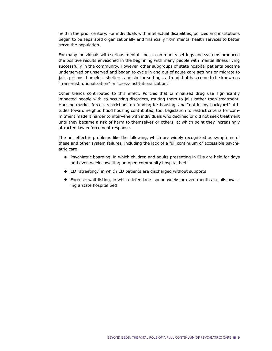held in the prior century. For individuals with intellectual disabilities, policies and institutions began to be separated organizationally and financially from mental health services to better serve the population.

For many individuals with serious mental illness, community settings and systems produced the positive results envisioned in the beginning with many people with mental illness living successfully in the community. However, other subgroups of state hospital patients became underserved or unserved and began to cycle in and out of acute care settings or migrate to jails, prisons, homeless shelters, and similar settings, a trend that has come to be known as "trans-institutionalization" or "cross-institutionalization."

Other trends contributed to this effect. Policies that criminalized drug use significantly impacted people with co-occurring disorders, routing them to jails rather than treatment. Housing market forces, restrictions on funding for housing, and "not-in-my-backyard" attitudes toward neighborhood housing contributed, too. Legislation to restrict criteria for commitment made it harder to intervene with individuals who declined or did not seek treatment until they became a risk of harm to themselves or others, at which point they increasingly attracted law enforcement response.

The net effect is problems like the following, which are widely recognized as symptoms of these and other system failures, including the lack of a full continuum of accessible psychiatric care:

- ◆ Psychiatric boarding, in which children and adults presenting in EDs are held for days and even weeks awaiting an open community hospital bed
- ◆ ED "streeting," in which ED patients are discharged without supports
- ◆ Forensic wait-listing, in which defendants spend weeks or even months in jails awaiting a state hospital bed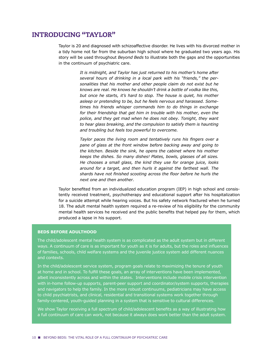# INTRODUCING "TAYLOR"

Taylor is 20 and diagnosed with schizoaffective disorder. He lives with his divorced mother in a tidy home not far from the suburban high school where he graduated two years ago. His story will be used throughout *Beyond Beds* to illustrate both the gaps and the opportunities in the continuum of psychiatric care.

> *It is midnight, and Taylor has just returned to his mother's home after several hours of drinking in a local park with his "friends," the personalities that his mother and other people claim do not exist but he knows are real. He knows he shouldn't drink a bottle of vodka like this, but once he starts, it's hard to stop. The house is quiet, his mother asleep or pretending to be, but he feels nervous and harassed. Sometimes his friends whisper commands him to do things in exchange for their friendship that get him in trouble with his mother, even the police, and they get mad when he does not obey. Tonight, they want to hear glass breaking, and the compulsion to satisfy them is haunting and troubling but feels too powerful to overcome.*

> *Taylor paces the living room and tentatively runs his fingers over a pane of glass at the front window before backing away and going to the kitchen. Beside the sink, he opens the cabinet where his mother keeps the dishes. So many dishes! Plates, bowls, glasses of all sizes. He chooses a small glass, the kind they use for orange juice, looks around for a target, and then hurls it against the farthest wall. The*  shards have not finished scooting across the floor before he hurls the *next one and then another.*

Taylor benefited from an individualized education program (IEP) in high school and consistently received treatment, psychotherapy and educational support after his hospitalization for a suicide attempt while hearing voices. But his safety network fractured when he turned 18. The adult mental health system required a re-review of his eligibility for the community mental health services he received and the public benefits that helped pay for them, which produced a lapse in his support.

#### **BEDS BEFORE ADULTHOOD**

The child/adolescent mental health system is as complicated as the adult system but in different ways. A continuum of care is as important for youth as it is for adults, but the roles and influences of families, schools, child welfare systems and the juvenile justice system add different nuances and contexts.

In the child/adolescent service system, program goals relate to maximizing the tenure of youth at home and in school. To fulfill these goals, an array of interventions have been implemented, albeit inconsistently across and within the states. Interventions include mobile crisis intervention with in-home follow-up supports, parent-peer support and coordinator/system supports, therapies and navigators to help the family. In the more robust continuums, pediatricians may have access to child psychiatrists, and clinical, residential and transitional systems work together through family-centered, youth-guided planning in a system that is sensitive to cultural differences.

We show Taylor receiving a full spectrum of child/adolescent benefits as a way of illustrating how a full continuum of care can work, not because it always does work better than the adult system.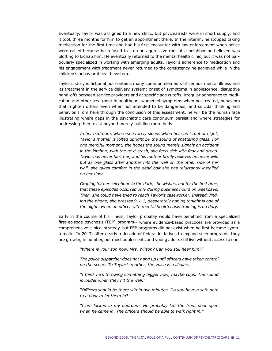Eventually, Taylor was assigned to a new clinic, but psychiatrists were in short supply, and it took three months for him to get an appointment there. In the interim, he stopped taking medication for the first time and had his first encounter with law enforcement when police were called because he refused to stop an aggressive rant at a neighbor he believed was plotting to kidnap him. He eventually returned to the mental health clinic, but it was not particularly specialized in working with emerging adults. Taylor's adherence to medication and his engagement with treatment never returned to the consistency he achieved while in the children's behavioral health system.

Taylor's story is fictional but contains many common elements of serious mental illness and its treatment in the service delivery system: onset of symptoms in adolescence, disruptive hand-offs between service providers and at specific age cutoffs, irregular adherence to medication and other treatment in adulthood, worsened symptoms when not treated, behaviors that frighten others even when not intended to be dangerous, and suicidal thinking and behavior. From here through the conclusion of this assessment, he will be the human face illustrating where gaps in the psychiatric care continuum persist and where strategies for addressing them exist beyond merely building more beds.

> *In her bedroom, where she rarely sleeps when her son is out at night, Taylor's mother is jolted upright by the sound of shattering glass. For one merciful moment, she hopes the sound merely signals an accident in the kitchen; with the next crash, she feels sick with fear and dread. Taylor has never hurt her, and his mother firmly believes he never will, but as one glass after another hits the wall on the other side of her wall, she takes comfort in the dead bolt she has reluctantly installed on her door.*

> *Groping for her cell phone in the dark, she wishes, not for the first time, that these episodes occurred only during business hours on weekdays. Then, she could have tried to reach Taylor's caseworker. Instead, finding the phone, she presses 9-1-1, desperately hoping tonight is one of*  the nights when an officer with mental health crisis training is on duty.

Early in the course of his illness, Taylor probably would have benefited from a specialized first-episode psychosis (FEP) program<sup>10</sup> where evidence-based practices are provided as a comprehensive clinical strategy, but FEP programs did not exist when he first became symptomatic. In 2017, after nearly a decade of federal initiatives to expand such programs, they are growing in number, but most adolescents and young adults still live without access to one.

*"Where is your son now, Mrs. Wilson? Can you still hear him?"*

The police dispatcher does not hang up until officers have taken control *on the scene. To Taylor's mother, the voice is a lifeline.* 

*"I think he's throwing something bigger now, maybe cups. The sound is louder when they hit the wall."*

<sup>"</sup>Officers should be there within two minutes. Do you have a safe path *to a door to let them in?"*

*"I am locked in my bedroom. He probably left the front door open*  when he came in. The officers should be able to walk right in."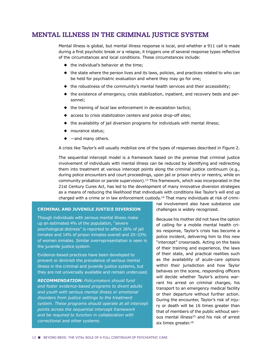# MENTAL ILLNESS IN THE CRIMINAL JUSTICE SYSTEM

Mental illness is global, but mental illness response is local, and whether a 911 call is made during a first psychotic break or a relapse, it triggers one of several response types reflective of the circumstances and local conditions. These circumstances include:

- ◆ the individual's behavior at the time;
- ◆ the state where the person lives and its laws, policies, and practices related to who can be held for psychiatric evaluation and where they may go for one;
- ◆ the robustness of the community's mental health services and their accessibility;
- ◆ the existence of emergency, crisis stabilization, inpatient, and recovery beds and personnel;
- ◆ the training of local law enforcement in de-escalation tactics;
- ◆ access to crisis stabilization centers and police drop-off sites;
- ◆ the availability of jail diversion programs for individuals with mental illness;
- ◆ insurance status;
- $\triangleleft$  —and many others.

A crisis like Taylor's will usually mobilize one of the types of responses described in Figure 2.

The sequential intercept model is a framework based on the premise that criminal justice involvement of individuals with mental illness can be reduced by identifying and redirecting them into treatment at various intercept points along the criminal justice continuum (e.g., during police encounters and court proceedings, upon jail or prison entry or reentry, while on community probation or parole supervision).<sup>13</sup> This framework, which was incorporated in the 21st Century Cures Act, has led to the development of many innovative diversion strategies as a means of reducing the likelihood that individuals with conditions like Taylor's will end up charged with a crime or in law enforcement custody.14 That many individuals at risk of crimi-

#### **CRIMINAL AND JUVENILE JUSTICE DIVERSION**

Though individuals with serious mental illness make up an estimated 4% of the population, "severe psychological distress" is reported to affect 26% of jail inmates and 14% of prison inmates overall and 20–33% of women inmates. Similar overrepresentation is seen in the juvenile justice system.

Evidence-based practices have been developed to prevent or diminish the prevalence of serious mental illness in the criminal and juvenile justice systems, but they are not universally available and remain underused.

*RECOMMENDATION: Policymakers should fund and foster evidence-based programs to divert adults and youth with serious mental illness or emotional disorders from justice settings to the treatment system. These programs should operate at all intercept points across the sequential intercept framework and be required to function in collaboration with correctional and other systems.*

nal involvement also have substance use challenges is widely recognized.

Because his mother did not have the option of calling for a mobile mental health crisis response, Taylor's crisis has become a police incident, delivering him to this new "intercept" crossroads. Acting on the basis of their training and experience, the laws of their state, and practical realities such as the availability of acute-care options within their jurisdiction and how Taylor behaves on the scene, responding officers will decide whether Taylor's actions warrant his arrest on criminal charges, his transport to an emergency medical facility or their departure without further action. During the encounter, Taylor's risk of injury or death will be 16 times greater than that of members of the public without serious mental illness<sup>15</sup> and his risk of arrest six times greater.<sup>16</sup>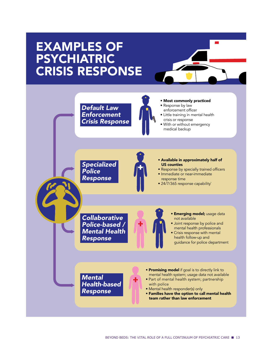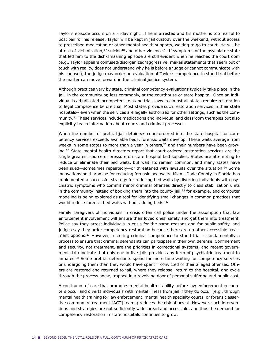Taylor's episode occurs on a Friday night. If he is arrested and his mother is too fearful to post bail for his release, Taylor will be kept in jail custody over the weekend, without access to prescribed medication or other mental health supports, waiting to go to court. He will be at risk of victimization, $17$  suicide<sup>18</sup> and other violence.<sup>19</sup> If symptoms of the psychiatric state that led him to the dish-smashing episode are still evident when he reaches the courtroom (e.g., Taylor appears confused/disorganized/aggressive, makes statements that seem out of touch with reality, does not understand why he is before a judge or cannot communicate with his counsel), the judge may order an evaluation of Taylor's competence to stand trial before the matter can move forward in the criminal justice system.

Although practices vary by state, criminal competency evaluations typically take place in the jail, in the community or, less commonly, at the courthouse or state hospital. Once an individual is adjudicated incompetent to stand trial, laws in almost all states require restoration to legal competence before trial. Most states provide such restoration services in their state hospitals<sup>20</sup> even when the services are legally authorized for other settings, such as the community.21 These services include medications and individual and classroom therapies but also explicitly teach information about courts and criminal processes.

When the number of pretrial jail detainees court-ordered into the state hospital for competency services exceeds available beds, forensic waits develop. These waits average from weeks in some states to more than a year in others, $22$  and their numbers have been growing.23 State mental health directors report that court-ordered restoration services are the single greatest source of pressure on state hospital bed supplies. States are attempting to reduce or eliminate their bed waits, but waitlists remain common, and many states have been sued—sometimes repeatedly—or threatened with lawsuits over the situation.24 Some innovations hold promise for reducing forensic bed waits. Miami-Dade County in Florida has implemented a successful strategy for reducing bed waits by diverting individuals with psychiatric symptoms who commit minor criminal offenses directly to crisis stabilization units in the community instead of booking them into the county jail, $2^5$  for example, and computer modeling is being explored as a tool for identifying small changes in common practices that would reduce forensic bed waits without adding beds.26

Family caregivers of individuals in crisis often call police under the assumption that law enforcement involvement will ensure their loved ones' safety and get them into treatment. Police say they arrest individuals in crisis for the same reasons and for public safety, and judges say they order competency restoration because there are no other accessible treatment options.<sup>27</sup> However, restoring criminal competence to stand trial is fundamentally a process to ensure that criminal defendants can participate in their own defense. Confinement and security, not treatment, are the priorities in correctional systems, and recent government data indicate that only one in five jails provides any form of psychiatric treatment to inmates.28 Some pretrial defendants spend far more time waiting for competency services or undergoing them than they would have spent if convicted of their alleged offenses. Others are restored and returned to jail, where they relapse, return to the hospital, and cycle through the process anew, trapped in a revolving door of personal suffering and public cost.

A continuum of care that promotes mental health stability before law enforcement encounters occur and diverts individuals with mental illness from jail if they do occur (e.g., through mental health training for law enforcement, mental health specialty courts, or forensic assertive community treatment [ACT] teams) reduces the risk of arrest. However, such interventions and strategies are not sufficiently widespread and accessible, and thus the demand for competency restoration in state hospitals continues to grow.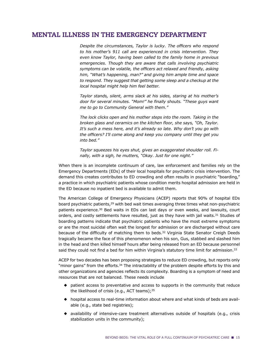# MENTAL ILLNESS IN THE EMERGENCY DEPARTMENT

Despite the circumstances, Taylor is lucky. The officers who respond *to his mother's 911 call are experienced in crisis intervention. They even know Taylor, having been called to the family home in previous emergencies. Though they are aware that calls involving psychiatric Symptoms can be volatile, the officers act relaxed and friendly, asking him, "What's happening, man?" and giving him ample time and space to respond. They suggest that getting some sleep and a checkup at the local hospital might help him feel better.* 

*Taylor stands, silent, arms slack at his sides, staring at his mother's door for several minutes.* "Mom!" he finally shouts. "These guys want *me to go to Community General with them."*

*The lock clicks open and his mother steps into the room. Taking in the broken glass and ceramics on the kitchen floor, she says, "Oh, Taylor. It's such a mess here, and it's already so late. Why don't you go with*  the officers? I'll come along and keep you company until they get you *into bed."*

*Taylor squeezes his eyes shut, gives an exaggerated shoulder roll. Finally, with a sigh, he mutters, "Okay. Just for one night."*

When there is an incomplete continuum of care, law enforcement and families rely on the Emergency Departments (EDs) of their local hospitals for psychiatric crisis intervention. The demand this creates contributes to ED crowding and often results in psychiatric "boarding," a practice in which psychiatric patients whose condition merits hospital admission are held in the ED because no inpatient bed is available to admit them.

The American College of Emergency Physicians (ACEP) reports that 90% of hospital EDs board psychiatric patients,<sup>29</sup> with bed wait times averaging three times what non-psychiatric patients experience.30 Bed waits in EDs can last days or even weeks, and lawsuits, court orders, and costly settlements have resulted, just as they have with jail waits.<sup>31</sup> Studies of boarding patterns indicate that psychiatric patients who have the most extreme symptoms or are the most suicidal often wait the longest for admission or are discharged without care because of the difficulty of matching them to beds.<sup>32</sup> Virginia State Senator Creigh Deeds tragically became the face of this phenomenon when his son, Gus, stabbed and slashed him in the head and then killed himself hours after being released from an ED because personnel said they could not find a bed for him within Virginia's statutory time limit for admission.<sup>33</sup>

ACEP for two decades has been proposing strategies to reduce ED crowding, but reports only "minor gains" from the efforts.<sup>34</sup> The intractability of the problem despite efforts by this and other organizations and agencies reflects its complexity. Boarding is a symptom of need and resources that are not balanced. These needs include

- ◆ patient access to preventative and access to supports in the community that reduce the likelihood of crisis (e.g., ACT teams); $35$
- ◆ hospital access to real-time information about where and what kinds of beds are available (e.g., state bed registries);
- ◆ availability of intensive-care treatment alternatives outside of hospitals (e.g., crisis stabilization units in the community);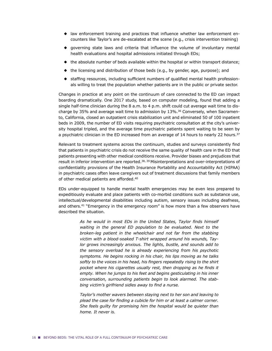- $\blacklozenge$  law enforcement training and practices that influence whether law enforcement encounters like Taylor's are de-escalated at the scene (e.g., crisis intervention training)
- $\blacklozenge$  governing state laws and criteria that influence the volume of involuntary mental health evaluations and hospital admissions initiated through EDs;
- ◆ the absolute number of beds available within the hospital or within transport distance;
- ◆ the licensing and distribution of those beds (e.g., by gender, age, purpose); and
- ◆ staffing resources, including sufficient numbers of qualified mental health professionals willing to treat the population whether patients are in the public or private sector.

Changes in practice at any point on the continuum of care connected to the ED can impact boarding dramatically. One 2017 study, based on computer modeling, found that adding a single half-time clinician during the 8 a.m. to 4 p.m. shift could cut average wait time to discharge by 35% and average wait time to admission by 13%.36 Conversely, when Sacramento, California, closed an outpatient crisis stabilization unit and eliminated 50 of 100 inpatient beds in 2009, the number of ED visits requiring psychiatric consultation at the city's university hospital tripled, and the average time psychiatric patients spent waiting to be seen by a psychiatric clinician in the ED increased from an average of 14 hours to nearly 22 hours.<sup>37</sup>

Relevant to treatment systems across the continuum, studies and surveys consistently find that patients in psychiatric crisis do not receive the same quality of health care in the ED that patients presenting with other medical conditions receive. Provider biases and prejudices that result in inferior intervention are reported.<sup>38, 39</sup> Misinterpretations and over-interpretations of confidentiality provisions of the Health Insurance Portability and Accountability Act (HIPAA) in psychiatric cases often leave caregivers out of treatment discussions that family members of other medical patients are afforded.40

EDs under-equipped to handle mental health emergencies may be even less prepared to expeditiously evaluate and place patients with co-morbid conditions such as substance use, intellectual/developmental disabilities including autism, sensory issues including deafness, and others.<sup>41</sup> "Emergency in the emergency room" is how more than a few observers have described the situation.

> As he would in most EDs in the United States, Taylor finds himself *Waiting in the general ED population to be evaluated. Next to the broken-leg patient in the wheelchair and not far from the stabbing victim with a blood-soaked T-shirt wrapped around his wounds, Taylor grows increasingly anxious. The lights, bustle, and sounds add to the sensory overload he is already experiencing from his psychotic symptoms. He begins rocking in his chair, his lips moving as he talks*  softly to the voices in his head, his fingers repeatedly rising to the shirt pocket where his cigarettes usually rest, then dropping as he finds it *empty. When he jumps to his feet and begins gesticulating in his inner conversation, surrounding patients begin to look alarmed. The stab*bing victim's girlfriend sidles away to find a nurse.

> *Taylor's mother wavers between staying next to her son and leaving to*  plead the case for finding a cubicle for him or at least a calmer corner. *She feels guilty for promising him the hospital would be quieter than home. It never is.*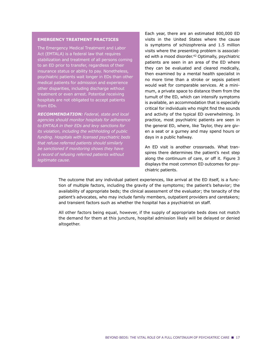#### **EMERGENCY TREATMENT PRACTICES**

The Emergency Medical Treatment and Labor Act (EMTALA) is a federal law that requires stabilization and treatment of all persons coming to an ED prior to transfer, regardless of their insurance status or ability to pay. Nonetheless, psychiatric patients wait longer in EDs than other medical patients for admission and experience other disparities, including discharge without treatment or even arrest. Potential receiving hospitals are not obligated to accept patients from EDs.

*RECOMMENDATION: Federal, state and local agencies should monitor hospitals for adherence*  to EMTALA in their EDs and levy sanctions for *its violation, including the withholding of public funding. Hospitals with licensed psychiatric beds that refuse referred patients should similarly be sanctioned if monitoring shows they have a record of refusing referred patients without legitimate cause.*

Each year, there are an estimated 800,000 ED visits in the United States where the cause is symptoms of schizophrenia and 1.5 million visits where the presenting problem is associated with a mood disorder.<sup>42</sup> Optimally, psychiatric patients are seen in an area of the ED where they can be evaluated and cleared medically, then examined by a mental health specialist in no more time than a stroke or sepsis patient would wait for comparable services. At a minimum, a private space to distance them from the tumult of the ED, which can intensify symptoms is available, an accommodation that is especially critical for individuals who might find the sounds and activity of the typical ED overwhelming. In practice, most psychiatric patients are seen in the general ED, where, like Taylor, they are given a seat or a gurney and may spend hours or days in a public hallway.

An ED visit is another crossroads. What transpires there determines the patient's next step along the continuum of care, or off it. Figure 3 displays the most common ED outcomes for psychiatric patients.

The outcome that any individual patient experiences, like arrival at the ED itself, is a function of multiple factors, including the gravity of the symptoms; the patient's behavior; the availability of appropriate beds; the clinical assessment of the evaluator; the tenacity of the patient's advocates, who may include family members, outpatient providers and caretakers; and transient factors such as whether the hospital has a psychiatrist on staff.

All other factors being equal, however, if the supply of appropriate beds does not match the demand for them at this juncture, hospital admission likely will be delayed or denied altogether.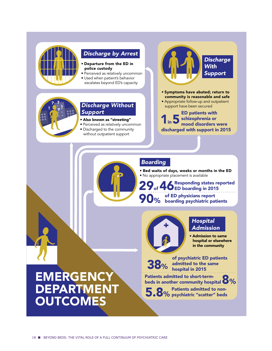

## *Discharge by Arrest*

- Departure from the ED in police custody
- Perceived as relatively uncommon
- · Used when patient's behavior
- escalates beyond ED's capacity



## *Discharge Without Support*

- Also known as "streeting"
- Perceived as relatively uncommon
- Discharged to the community without outpatient support



- Symptoms have abated; return to community is reasonable and safe
- Appropriate follow-up and outpatient support have been secured

ED patients with Sehizophrenia or<br>1 mood disorders were discharged with support in 2015

# *Boarding*

• Bed waits of days, weeks or months in the ED • No appropriate placement is available

Responding states reported 29 of 46<sup>Responding</sup> states re of ED physicians report **90**% of ED physicians report<br> **90**% boarding psychiatric patients



# *Hospital Admission*

• Admission to same hospital or elsewhere in the community

38% of psychiatric ED patients admitted to the same hospital in 2015

Patients admitted to short-term-<br>beds in another community hospital 0% Patients admitted to short-term-

5.8% Patients admitted to non-<br>
5.8% psychiatric "scatter" beds Patients admitted to non-

# **EMERGENCY DEPARTMENT OUTCOMES**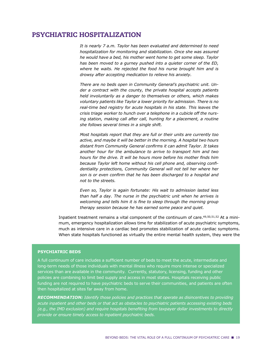# PSYCHIATRIC HOSPITALIZATION

*It is nearly 7 a.m. Taylor has been evaluated and determined to need hospitalization for monitoring and stabilization. Once she was assured he would have a bed, his mother went home to get some sleep. Taylor*  has been moved to a gurney pushed into a quieter corner of the ED, *where he waits. He rejected the food his nurse brought him and is drowsy after accepting medication to relieve his anxiety.* 

*There are no beds open in Community General's psychiatric unit. Under a contract with the county, the private hospital accepts patients held involuntarily as a danger to themselves or others, which makes voluntary patients like Taylor a lower priority for admission. There is no real-time bed registry for acute hospitals in his state. This leaves the crisis triage worker to hunch over a telephone in a cubicle off the nursing station, making call after call, hunting for a placement, a routine she follows several times in a single shift.*

*Most hospitals report that they are full or their units are currently too active, and maybe it will be better in the morning. A hospital two hours*  distant from Community General confirms it can admit Taylor. It takes *another hour for the ambulance to arrive to transport him and two*  hours for the drive. It will be hours more before his mother finds him *because Taylor left home without his cell phone and, observing confidentiality protections, Community General will not tell her where her*  son is or even confirm that he has been discharged to a hospital and *not to the streets.* 

*Even so, Taylor is again fortunate: His wait to admission lasted less than half a day. The nurse in the psychiatric unit when he arrives is*  welcoming and tells him it is fine to sleep through the morning group *therapy session because he has earned some peace and quiet.*

Inpatient treatment remains a vital component of the continuum of care.49,50,51,52 At a minimum, emergency hospitalization allows time for stabilization of acute psychiatric symptoms, much as intensive care in a cardiac bed promotes stabilization of acute cardiac symptoms. When state hospitals functioned as virtually the entire mental health system, they were the

#### **PSYCHIATRIC BEDS**

A full continuum of care includes a sufficient number of beds to meet the acute, intermediate and long-term needs of those individuals with mental illness who require more intense or specialized services than are available in the community. Currently, statutory, licensing, funding and other policies are combining to limit bed supply and access in most states. Hospitals receiving public funding are not required to have psychiatric beds to serve their communities, and patients are often then hospitalized at sites far away from home.

*RECOMMENDATION: Identify those policies and practices that operate as disincentives to providing acute inpatient and other beds or that act as obstacles to psychiatric patients accessing existing beds*  (e.g., the IMD exclusion) and require hospitals benefiting from taxpayer dollar investments to directly *provide or ensure timely access to inpatient psychiatric beds.*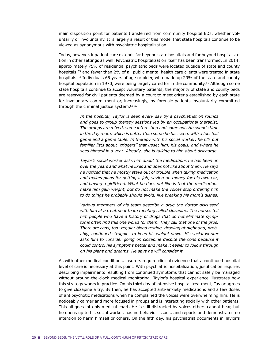main disposition point for patients transferred from community hospital EDs, whether voluntarily or involuntarily. It is largely a result of this model that state hospitals continue to be viewed as synonymous with psychiatric hospitalization.

Today, however, inpatient care extends far beyond state hospitals and far beyond hospitalization in other settings as well. Psychiatric hospitalization itself has been transformed. In 2014, approximately 75% of residential psychiatric beds were located outside of state and county hospitals,<sup>53</sup> and fewer than 2% of all public mental health care clients were treated in state hospitals.<sup>54</sup> Individuals 65 years of age or older, who made up 29% of the state and county hospital population in 1970, were being largely cared for in the community.<sup>55</sup> Although some state hospitals continue to accept voluntary patients, the majority of state and county beds are reserved for civil patients deemed by a court to meet criteria established by each state for involuntary commitment or, increasingly, by forensic patients involuntarily committed through the criminal justice system.<sup>56,57</sup>

> *In the hospital, Taylor is seen every day by a psychiatrist on rounds and goes to group therapy sessions led by an occupational therapist. The groups are mixed, some interesting and some not. He spends time in the day room, which is better than some he has seen, with a foosball*  game and a game table. In therapy with his social worker, he fills out *familiar lists about "triggers" that upset him, his goals, and where he sees himself in a year. Already, she is talking to him about discharge.*

> *Taylor's social worker asks him about the medications he has been on over the years and what he likes and does not like about them. He says he noticed that he mostly stays out of trouble when taking medication and makes plans for getting a job, saving up money for his own car, and having a girlfriend. What he does not like is that the medications make him gain weight, but do not make the voices stop ordering him to do things he probably should avoid, like breaking his mom's dishes.*

> *Various members of his team describe a drug the doctor discussed with him at a treatment team meeting called clozapine. The nurses tell him people who have a history of drugs that do not eliminate symp*toms often find this one works for them. They call that one of the pros. *There are cons, too: regular blood testing, drooling at night and, probably, continued struggles to keep his weight down. His social worker asks him to consider going on clozapine despite the cons because it could control his symptoms better and make it easier to follow through on his plans and dreams. He says he will consider it.*

As with other medical conditions, insurers require clinical evidence that a continued hospital level of care is necessary at this point. With psychiatric hospitalization, justification requires describing impairments resulting from continued symptoms that cannot safely be managed without around-the-clock medical monitoring. Taylor's hospital experience illustrates how this strategy works in practice. On his third day of intensive hospital treatment, Taylor agrees to give clozapine a try. By then, he has accepted anti-anxiety medications and a few doses of antipsychotic medications when he complained the voices were overwhelming him. He is noticeably calmer and more focused in groups and is interacting socially with other patients. This all goes into his medical chart. He is still distracted by voices others cannot hear, but he opens up to his social worker, has no behavior issues, and reports and demonstrates no intention to harm himself or others. On the fifth day, his psychiatrist documents in Taylor's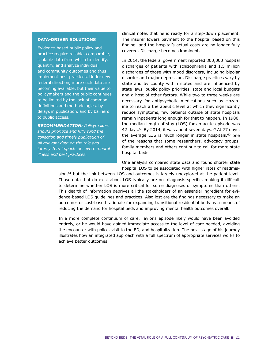#### **DATA-DRIVEN SOLUTIONS**

Evidence-based public policy and practice require reliable, comparable, scalable data from which to identify, quantify, and analyze individual and community outcomes and thus implement best practices. Under new federal direction, more such data are becoming available, but their value to policymakers and the public continues to be limited by the lack of common definitions and methodologies, by delays in publication, and by barriers to public access.

*RECOMMENDATION: Policymakers should prioritize and fully fund the collection and timely publication of all relevant data on the role and intersystem impacts of severe mental illness and best practices.* 

clinical notes that he is ready for a step-down placement. The insurer lowers payment to the hospital based on this finding, and the hospital's actual costs are no longer fully covered. Discharge becomes imminent.

In 2014, the federal government reported 800,000 hospital discharges of patients with schizophrenia and 1.5 million discharges of those with mood disorders, including bipolar disorder and major depression. Discharge practices vary by state and by county within states and are influenced by state laws, public policy priorities, state and local budgets and a host of other factors. While two to three weeks are necessary for antipsychotic medications such as clozapine to reach a therapeutic level at which they significantly reduce symptoms, few patients outside of state hospitals remain inpatients long enough for that to happen. In 1980, the median length of stay (LOS) for an acute episode was 42 days.58 By 2014, it was about seven days.59 At 77 days, the average LOS is much longer in state hospitals, $60$  one of the reasons that some researchers, advocacy groups, family members and others continue to call for more state hospital beds.

One analysis compared state data and found shorter state hospital LOS to be associated with higher rates of readmis-

sion,<sup>61</sup> but the link between LOS and outcomes is largely unexplored at the patient level. Those data that do exist about LOS typically are not diagnosis-specific, making it difficult to determine whether LOS is more critical for some diagnoses or symptoms than others. This dearth of information deprives all the stakeholders of an essential ingredient for evidence-based LOS quidelines and practices. Also lost are the findings necessary to make an outcome- or cost-based rationale for expanding transitional residential beds as a means of reducing the demand for hospital beds and improving mental health outcomes overall.

In a more complete continuum of care, Taylor's episode likely would have been avoided entirely, or he would have gained immediate access to the level of care needed, avoiding the encounter with police, visit to the ED, and hospitalization. The next stage of his journey illustrates how an integrated approach with a full spectrum of appropriate services works to achieve better outcomes.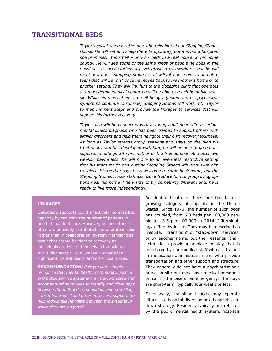# TRANSITIONAL BEDS

*Taylor's social worker is the one who tells him about Stepping Stones House. He will eat and sleep there temporarily, but it is not a hospital, she promises. It is small – only six beds in a real house, in his home county. He will see some of the same kinds of people he does in the hospital – a social worker, a psychiatrist, a caseworker – but he will meet new ones. Stepping Stones' staff will introduce him to an entire team that will be "his" once he moves back to his mother's home or to another setting. They will link him to the clozapine clinic that operates at an academic medical center he will be able to reach by public transit. While his medications are still being adjusted and his psychiatric symptoms continue to subside, Stepping Stones will work with Taylor to map his next steps and provide the linkages to services that will support his further recovery.* 

*Taylor also will be connected with a young adult peer with a serious mental illness diagnosis who has been trained to support others with similar disorders and help them navigate their own recovery journeys. As long as Taylor attends group sessions and stays on the plan his treatment team has developed with him, he will be able to go on unsupervised outings with his mother or the trained peer. And after two weeks, maybe less, he will move to an even less restrictive setting that his team inside and outside Stepping Stones will work with him to select. His mother says he is welcome to come back home, but the Stepping Stones House staff also can introduce him to group living options near his home if he wants to try something different until he is ready to live more independently.*

#### **LINKAGES**

Outpatient supports could effectively increase bed capacity by reducing the number of patients in need of inpatient care. However, because these often are unevenly distributed and operate in silos rather than in collaboration, system inefficiencies occur that create barriers to recovery as individuals are left to themselves to navigate a complex array of interventions despite their significant mental health and other challenges.

*RECOMMENDATION: Policymakers should recognize that mental health, community, justice and public service systems are interconnected and*  adopt and refine policies to identify and close gaps *between them. Practices should include providing "warm hand-offs" and other necessary supports to help individuals navigate between the systems in which they are engaged.*

Residential treatment beds are the fastestgrowing category of capacity in the United States. Since 1970, the number of such beds has doubled, from 6.8 beds per 100,000 people to 13.5 per 100,000 in 2014.62 Terminology differs by locale. They may be described as "respite," "transition" or "step-down" services, or by another name, but their essential characteristic is providing a place to stay that is monitored by non-medical staff who are trained in medication administration and who provide transportation and other support and structure. They generally do not have a psychiatrist or a nurse on-site but may have medical personnel on call in the case of an emergency. The stays are short-term, typically four weeks or less.

Functionally, transitional beds may operate either as a hospital diversion or a hospital stepdown strategy. Residents typically are referred by the public mental health system, hospitals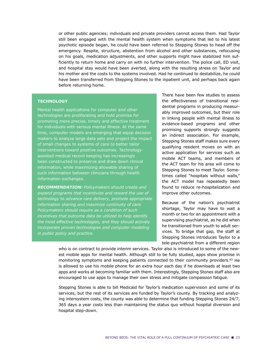or other public agencies; individuals and private providers cannot access them. Had Taylor still been engaged with the mental health system when symptoms that led to his latest psychotic episode began, he could have been referred to Stepping Stones to head off the emergency. Respite, structure, abstention from alcohol and other substances, refocusing on his goals, medication adjustments, and other supports might have stabilized him suf ficiently to return home and carry on with no further intervention. The police call, ED visit, and hospital stay would have been averted, along with the resulting stress on Taylor and his mother and the costs to the systems involved. Had he continued to destabilize, he could have been transferred from Stepping Stones to the inpatient unit, and perhaps back again before returning home.

#### **TECHNOLOGY**

Mental health applications for computer and other technologies are proliferating and hold promise for promoting more precise, timely and effective treatment for individuals with serious mental illness. At the same time, computer models are emerging that equip decision makers to analyze large data sets and project the impact of small changes to systems of care to better tailor interventions toward positive outcomes. Technologyassisted medical record keeping has increasingly been constructed to preserve and draw down clinical information, while maximizing allowable sharing of such information between clinicians through health information exchanges.

*RECOMMENDATION: Policymakers should create and expand programs that incentivize and reward the use of technology to advance care delivery, promote appropriate information sharing and maximize continuity of care. Policymakers should require as a condition of such incentives that outcome data be utilized to help identify the most effective technologies, and they should actively incorporate proven technologies and computer modeling in public policy and practice.*

There have been few studies to assess the effectiveness of transitional residential programs in producing measurably improved outcomes, but their role in linking people with mental illness to evidence-based programs and other promising supports strongly suggests an indirect association. For example, Stepping Stones staff makes sure every qualifying resident moves on with an active application for services such as mobile ACT teams, and members of the ACT team for his area will come to Stepping Stones to meet Taylor. Sometimes called "hospitals without walls," the ACT model has repeatedly been found to reduce re-hospitalization and improve other outcomes.

Because of the nation's psychiatrist shortage, Taylor may have to wait a month or two for an appointment with a supervising psychiatrist, as he did when he transitioned from youth to adult services. To bridge that gap, the staff at Stepping Stones introduces Taylor to a tele-psychiatrist from a different region

who is on contract to provide interim services. Taylor also is introduced to some of the newest mobile apps for mental health. Although still to be fully studied, apps show promise in monitoring symptoms and keeping patients connected to their community providers.<sup>63</sup> He is allowed to use his mobile phone for an extra hour each day if he downloads at least two apps and works at becoming familiar with them. Interestingly, Stepping Stones staff also are encouraged to use apps to manage their own stress and mitigate compassion fatigue.

Stepping Stones is able to bill Medicaid for Taylor's medication supervision and some of its services, but the rest of its services are funded by Taylor's county. By tracking and analyzing intersystem costs, the county was able to determine that funding Stepping Stones 24/7, 365 days a year costs less than maintaining the status quo without hospital diversion and hospital step-down.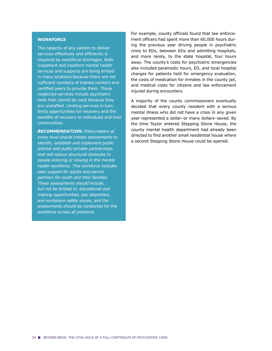#### **WORKFORCE**

The capacity of any system to deliver services effectively and efficiently is impaired by workforce shortages. Both outpatient and inpatient mental health services and supports are being limited in many locations because there are not sufficient numbers of trained workers and certified peers to provide them. These neglected services include psychiatric beds that cannot be used because they are unstaffed. Limiting services in turn limits opportunities for recovery and the benefits of recovery to individuals and their communities.

*RECOMMENDATION: Policymakers at every level should initiate assessments to identify, establish and implement public policies and public-private partnerships that will reduce structural obstacles to people entering or staying in the mental health workforce. This workforce includes peer support for adults and parent partners for youth and their families. These assessments should include, but not be limited to, educational and training opportunities, pay disparities, and workplace safety issues, and the assessments should be conducted for the workforce across all positions.*

For example, county officials found that law enforcement officers had spent more than 60,000 hours during the previous year driving people in psychiatric crisis to EDs, between EDs and admitting hospitals, and more rarely, to the state hospital, four hours away. The county's costs for psychiatric emergencies also included paramedic hours, ED, and local hospital charges for patients held for emergency evaluation, the costs of medication for inmates in the county jail, and medical costs for citizens and law enforcement injured during encounters.

A majority of the county commissioners eventually decided that every county resident with a serious mental illness who did not have a crisis in any given year represented a dollar–or many dollars–saved. By the time Taylor entered Stepping Stone House, the county mental health department had already been directed to find another small residential house where a second Stepping Stone House could be opened.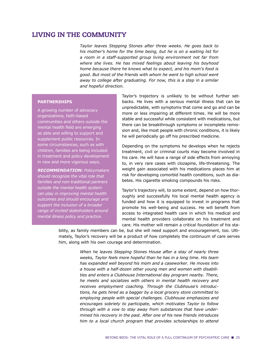# LIVING IN THE COMMUNITY

*Taylor leaves Stepping Stones after three weeks. He goes back to his mother's home for the time being, but he is on a waiting list for a room in a staff-supported group living environment not far from where she lives. He has mixed feelings about leaving his boyhood home because there he knows what to expect, and his mom's food is good. But most of the friends with whom he went to high school went away to college after graduating. For now, this is a step in a similar and hopeful direction.*

#### **PARTNERSHIPS**

A growing number of advocacy organizations, faith-based communities and others outside the mental health field are emerging as able and willing to support and supplement public resources. In some circumstances, such as with children, families are being included in treatment and policy development in new and more vigorous ways.

*RECOMMENDATION: Policymakers should recognize the vital role that families and non-traditional partners outside the mental health system can play in improving mental health outcomes and should encourage and support the inclusion of a broader range of invited stakeholders around mental illness policy and practice.* 

Taylor's trajectory is unlikely to be without further setbacks. He lives with a serious mental illness that can be unpredictable, with symptoms that come and go and can be more or less impairing at different times. He will be more stable and successful while consistent with medications, but there can be breakthrough symptoms or incomplete remission and, like most people with chronic conditions, it is likely he will periodically go off his prescribed medicine.

Depending on the symptoms he develops when he rejects treatment, civil or criminal courts may become involved in his care. He will have a range of side effects from annoying to, in very rare cases with clozapine, life-threatening. The weight gain associated with his medications places him at risk for developing comorbid health conditions, such as diabetes. His cigarette smoking compounds his risks.

Taylor's trajectory will, to some extent, depend on how thoroughly and successfully his local mental health agency is funded and how it is equipped to invest in programs that promote his well-being and success. He will benefit from access to integrated health care in which his medical and mental health providers collaborate on his treatment and care. His mother will remain a critical foundation of his sta-

bility, as family members can be, but she will need support and encouragement, too. Ultimately, Taylor's recovery will be a product of how completely the continuum of care serves him, along with his own courage and determination.

> *When he leaves Stepping Stones House after a stay of nearly three weeks, Taylor feels more hopeful than he has in a long time. His team has expanded well beyond his mom and a caseworker. He moves into a house with a half-dozen other young men and women with disabilities and enters a Clubhouse International day program nearby. There, he meets and socializes with others in mental health recovery and receives employment coaching. Through the Clubhouse's introductions, he gets hired as a bagger by a local grocery store committed to employing people with special challenges. Clubhouse emphasizes and encourages sobriety to participate, which motivates Taylor to follow through with a vow to stay away from substances that have undermined his recovery in the past. After one of his new friends introduces him to a local church program that provides scholarships to attend*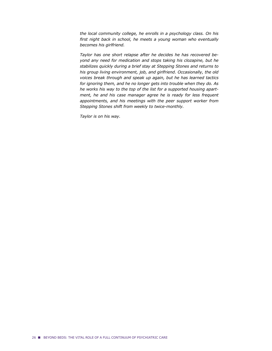*the local community college, he enrolls in a psychology class. On his*  first night back in school, he meets a young woman who eventually *becomes his girlfriend.*

*Taylor has one short relapse after he decides he has recovered beyond any need for medication and stops taking his clozapine, but he stabilizes quickly during a brief stay at Stepping Stones and returns to his group living environment, job, and girlfriend. Occasionally, the old voices break through and speak up again, but he has learned tactics for ignoring them, and he no longer gets into trouble when they do. As he works his way to the top of the list for a supported housing apartment, he and his case manager agree he is ready for less frequent appointments, and his meetings with the peer support worker from Stepping Stones shift from weekly to twice-monthly.*

*Taylor is on his way.*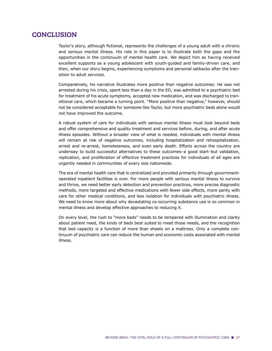# **CONCLUSION**

Taylor's story, although fictional, represents the challenges of a young adult with a chronic and serious mental illness. His role in this paper is to illustrate both the gaps and the opportunities in the continuum of mental health care. We depict him as having received excellent supports as a young adolescent with youth-guided and family-driven care, and then, when our story begins, experiencing symptoms and personal setbacks after the transition to adult services.

Comparatively, his narrative illustrates more positive than negative outcomes: He was not arrested during his crisis, spent less than a day in the ED, was admitted to a psychiatric bed for treatment of his acute symptoms, accepted new medication, and was discharged to transitional care, which became a turning point. "More positive than negative," however, should not be considered acceptable for someone like Taylor, but more psychiatric beds alone would not have improved the outcome.

A robust system of care for individuals with serious mental illness must look beyond beds and offer comprehensive and quality treatment and services before, during, and after acute illness episodes. Without a broader view of what is needed, individuals with mental illness will remain at risk of negative outcomes, including hospitalization and rehospitalization, arrest and re-arrest, homelessness, and even early death. Efforts across the country are underway to build successful alternatives to these outcomes–a good start–but validation, replication, and proliferation of effective treatment practices for individuals of all ages are urgently needed in communities of every size nationwide.

The era of mental health care that is centralized and provided primarily through governmentoperated inpatient facilities is over. For more people with serious mental illness to survive and thrive, we need better early detection and prevention practices, more precise diagnostic methods, more targeted and effective medications with fewer side effects, more parity with care for other medical conditions, and less isolation for individuals with psychiatric illness. We need to know more about why devastating co-occurring substance use is so common in mental illness and develop effective approaches to reducing it.

On every level, the rush to "more beds" needs to be tempered with illumination and clarity about patient need, the kinds of beds best suited to meet those needs, and the recognition that bed capacity is a function of more than sheets on a mattress. Only a complete continuum of psychiatric care can reduce the human and economic costs associated with mental illness.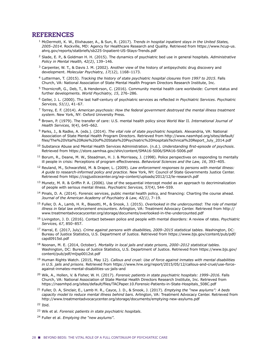## REFERENCES

- <sup>1</sup> McDermott, K. W., Elixhauser, A., & Sun, R. (2017). *Trends in hospital inpatient stays in the United States, 2005–2014.* Rockville, MD: Agency for Healthcare Research and Quality. Retrieved from https://www.hcup-us. ahrq.gov/reports/statbriefs/sb225-Inpatient-US-Stays-Trends.pdf
- <sup>2</sup> Slade, E. P., & Goldman H. H. (2015). The dynamics of psychiatric bed use in general hospitals. *Administrative Policy in Mental Health, 42(2)*, 139-146.
- $3$  Carpenter, W. T., & Davis J. M. (2002). Another view of the history of antipsychotic drug discovery and development. Molecular Psychiatry, 17(12), 1168-1173.
- <sup>4</sup> Lutterman, T. (2015). *Tracking the history of state psychiatric hospital closures from 1997 to 2015*. Falls Church, VA: National Association of State Mental Health Program Directors Research Institute, Inc.
- <sup>5</sup> Thornicroft, G., Deb, T., & Henderson, C. (2016). Community mental health care worldwide: Current status and further developments. *World Psychiatry, 15*, 276–286.
- <sup>6</sup> Geller, J. L. (2000). The last half-century of psychiatric services as reflected in Psychiatric Services. Psychiatric Services, 51(1), 41-67.
- <sup>7</sup> Torrey, E. F. (2014). *American psychosis: How the federal government destroyed the mental illness treatment system*. New York, NY: Oxford University Press.
- <sup>8</sup> Brown, P. (1979). The transfer of care: U.S. mental health policy since World War II. *International Journal of Health Services, 9(4), 645-662.*
- <sup>9</sup> Parks, J., & Radke, A. (eds.). (2014). *The vital role of state psychiatric hospitals*. Alexandria, VA: National Association of State Mental Health Program Directors. Retrieved from http://www.nasmhpd.org/sites/default/ files/The%20Vital%20Role%20of%20State%20Psychiatric%20HospitalsTechnical%20Report July 2014.pdf
- 10 Substance Abuse and Mental Health Services Administration. (n.d.). *Understanding first-episode of psychosis*. Retrieved from https://store.samhsa.gov/shin/content/SMA16-5006/SMA16-5006.pdf
- <sup>11</sup> Borum, R., Deane, M. W., Steadman, H. J. & Morrissey, J. (1998). Police perspectives on responding to mentally ill people in crisis: Perceptions of program effectiveness. *Behavioral Sciences and the Law, 16*, 393–405.
- <sup>12</sup> Reuland, M., Schwarzfeld, M. & Draper, L. (2009). *Law enforcement responses to persons with mental illness: A guide to research-informed policy and practice*. New York, NY: Council of State Governments Justice Center. Retrieved from https://csgjusticecenter.org/wp-content/uploads/2012/12/le-research.pdf
- $13$  Munetz, M. R. & Griffin P. A. (2006). Use of the sequential intercept model as an approach to decriminalization of people with serious mental illness. *Psychiatric Services*, 57(4), 544–559.
- $14$  Pinals, D. A. (2014). Forensic services, public mental health policy, and financing: Charting the course ahead. Journal of the American Academy of Psychiatry & Law, 42(1), 7-19.
- <sup>15</sup> Fuller, D. A., Lamb, H. R., Biasotti, M., & Snook, J. (2015). *Overlooked in the undercounted: The role of mental illness in fatal law enforcement encounters*. Arlington, VA: Treatment Advocacy Center. Retrieved from http:// www.treatmentadvocacycenter.org/storage/documents/overlooked-in-the-undercounted.pdf
- <sup>16</sup> Livingston, J. D. (2016). Contact between police and people with mental disorders: A review of rates. *Psychiatric Services, 67*, 850–857.
- <sup>17</sup> Harral, E. (2017, July). *Crime against persons with disabilities, 2009–2015 statistical tables*. Washington, DC: Bureau of Justice Statistics, U.S. Department of Justice. Retrieved from https://www.bjs.gov/content/pub/pdf/ capd0915st.pdf
- <sup>18</sup> Noonan, M. E. (2014, October). *Mortality in local jails and state prisons, 2000–2012 statistical tables*. Washington, DC: Bureau of Justice Statistics, U.S. Department of Justice. Retrieved from https://www.bjs.gov/ content/pub/pdf/mljsp0012st.pdf
- <sup>19</sup> Human Rights Watch. (2015, May 12). *Callous and cruel: Use of force against inmates with mental disabilities* in U.S. jails and prisons. Retrieved from https://www.hrw.org/report/2015/05/12/callous-and-cruel/use-forceagainst-inmates-mental-disabilities-us-jails-and
- <sup>20</sup> Wik, A., Hollen, V. & Fisher, W. H. (2017). *Forensic patients in state psychiatric hospitals: 1999–2016*. Falls Church, VA: National Association of State Mental Health Directors Research Institute, Inc. Retrieved from https://nasmhpd.org/sites/default/files/TACPaper.10.Forensic-Patients-in-State-Hospitals 508C.pdf
- <sup>21</sup> Fuller, D. A, Sinclair, E., Lamb H. R., Cayce, J. D., & Snook, J. (2017). *Emptying the "new asylums": A beds capacity model to reduce mental illness behind bars*. Arlington, VA: Treatment Advocacy Center. Retrieved from http://www.treatmentadvocacycenter.org/storage/documents/emptying-new-asylums.pdf

<sup>22</sup> Ibid.

- <sup>23</sup> Wik et al. *Forensic patients in state psychiatric hospitals*.
- <sup>24</sup> Fuller et al. *Emptying the "new asylums"*.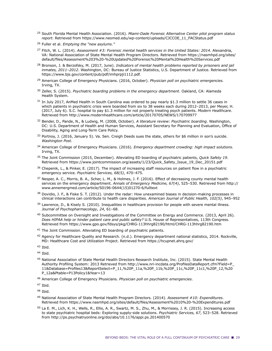- <sup>25</sup> South Florida Mental Health Association. (2016). *Miami-Dade Forensic Alternative Center pilot program status report*. Retrieved from https://www.neomed.edu/wp-content/uploads/CJCCOE\_11\_FACStatus.pdf
- <sup>26</sup> Fuller et al. *Emptying the "new asylums*.*"*
- <sup>27</sup> Fitch, W. L. (2014). *Assessment #3: Forensic mental health services in the United States: 2014. Alexandria,* VA: National Association of State Mental Health Program Directors. Retrieved from https://nasmhpd.org/sites/ default/files/Assessment%203%20-%20Updated%20Forensic%20Mental%20Health%20Services.pdf
- <sup>28</sup> Bronson, J. & Berzofsky, M. (2017, June). *Indicators of mental health problems reported by prisoners and jail inmates, 2011–2012*. Washington, DC: Bureau of Justice Statistics, U.S. Department of Justice. Retrieved from https://www.bjs.gov/content/pub/pdf/imhprpji1112.pdf.
- <sup>29</sup> American College of Emergency Physicians. (2016, October). *Physician poll on psychiatric emergencies.* Irving, TX.
- <sup>30</sup> Zeller, S. (2015). *Psychiatric boarding problems in the emergency department*. Oakland, CA: Alameda Health System.
- 31 In July 2017, AnMed Health in South Carolina was ordered to pay nearly \$1.3 million to settle 36 cases in which patients in psychiatric crisis were boarded from six to 38 weeks each during 2012–2013, per Meyer, H. (2017, July 6). S.C. hospital to pay \$1.3 million for not properly treating psych patients. *Modern Healthcare*. Retrieved from http://www.modernhealthcare.com/article/20170705/NEWS/170709977
- <sup>32</sup> Bender, D., Pande, N., & Ludwig, M. (2008, October). *A literature review: Psychiatric boarding*. Washington, DC: U.S. Department of Health and Human Services, Assistant Secretary for Planning and Evaluation, Office of Disability, Aging and Long-Term Care Policy.
- 33 Portnoy, J. (2016, January 5). Va. Sen. Creigh Deeds sues the state, others for \$6 million in son's suicide. *Washington Post*.
- <sup>34</sup> American College of Emergency Physicians. (2016). *Emergency department crowding: high impact solutions*. Irving, TX.
- <sup>35</sup> The Joint Commission (2015, December). Alleviating ED boarding of psychiatric patients, *Quick Safety 19*. Retrieved from https://www.jointcommission.org/assets/1/23/Quick\_Safety\_Issue\_19\_Dec\_20151.pdf
- $36$  Chepenik, L., & Pinker, E. (2017). The impact of increasing staff resources on patient flow in a psychiatric emergency service. Psychiatric Services, 68(5), 470-475.
- 37 Nesper, A. C., Morris, B. A., Scher, L. M., & Holmes, J. F. (2016). Effect of decreasing county mental health services on the emergency department. Annals of Emergency Medicine, 67(4), 525–530. Retrieved from http:// www.annemergmed.com/article/S0196-0644(15)01270-6/fulltext
- 38 Dovidio, J. F., & Fiske S. T. (2012). Under the radar: How unexamined biases in decision-making processes in clinical interactions can contribute to health care disparities. American Journal of Public Health, 102(5), 945–952
- $39$  Lawrence, D., & Kisely S. (2010). Inequalities in healthcare provision for people with severe mental illness. *Journal of Psychopharmacology, 24*, 61–68.
- <sup>40</sup> Subcommittee on Oversight and Investigations of the Committee on Energy and Commerce. (2013, April 26). Does HIPAA help or hinder patient care and public safety? U.S. House of Representatives, 113th Congress. Retrieved from https://www.gpo.gov/fdsys/pkg/CHRG-113hhrg82190/html/CHRG-113hhrg82190.htm
- <sup>41</sup> The Joint Commission. Alleviating ED boarding of psychiatric patients.
- $42$  Agency for Healthcare Quality and Research. (n.d.). Emergency department national statistics, 2014. Rockville, MD: Healthcare Cost and Utilization Project. Retrieved from https://hcupnet.ahrq.gov/
- $43$  Ibid.
- <sup>44</sup> Ibid.
- <sup>45</sup> National Association of State Mental Health Directors Research Institute, Inc. (2015). State Mental Health Authority Profiling System: 2013 Retrieved from http://www.nri-incdata.org/ProfilesDataReport.cfm?Field=P\_ 11&Database=Profiles13&ReportSelect=P\_11,%20P\_11a,%20P\_11b,%20P\_11c,%20P\_11c1,%20P\_12,%20 P 12a&Ptable=P13Policy1&Year=13
- <sup>46</sup> American College of Emergency Physicians. *Physician poll on psychiatric emergencies*.

<sup>47</sup> Ibid.

- <sup>48</sup> Ibid.
- <sup>49</sup> National Association of State Mental Health Program Directors. (2014). *Assessment #10: Expenditures*. Retrieved from https://www.nasmhpd.org/sites/default/files/Assessment%2010%20-%20Expenditures.pdf
- <sup>50</sup> La E. M., Lich, K. H., Wells, R., Ellis, A. R., Swartz, M. S., Zhu, M., & Morrissey, J. R. (2015). Increasing access to state psychiatric hospital beds: Exploring supply-side solutions. *Psychiatric Services, 67*, 523–528. Retrieved from http://ps.psychiatryonline.org/doi/abs/10.1176/appi.ps.201400570